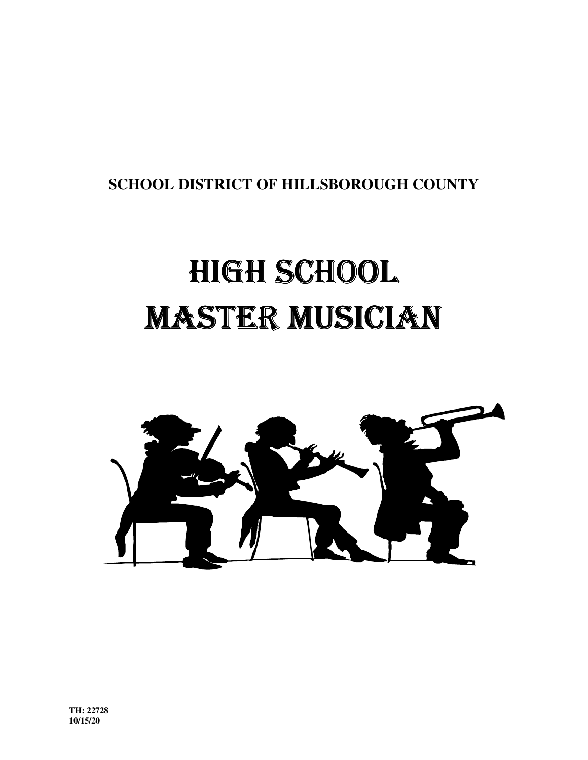**SCHOOL DISTRICT OF HILLSBOROUGH COUNTY**

# HIGHSCHOOL MASTER MUSICIAN

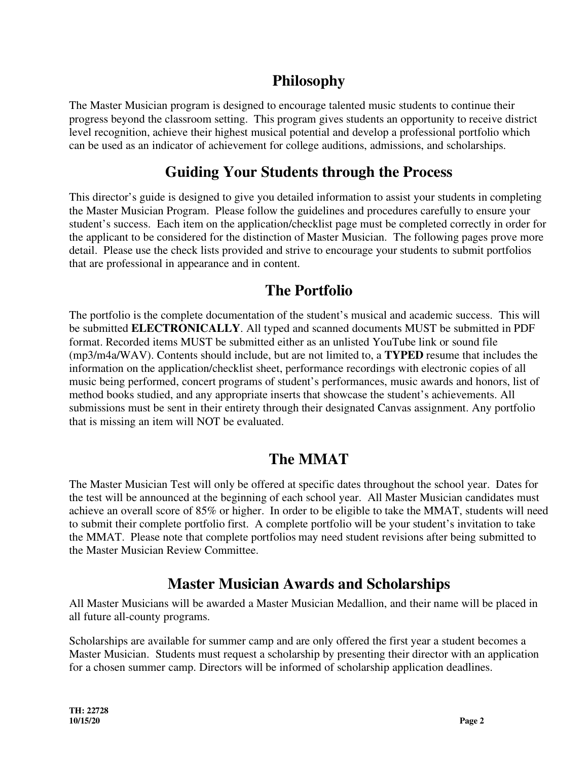## **Philosophy**

The Master Musician program is designed to encourage talented music students to continue their progress beyond the classroom setting. This program gives students an opportunity to receive district level recognition, achieve their highest musical potential and develop a professional portfolio which can be used as an indicator of achievement for college auditions, admissions, and scholarships.

#### **Guiding Your Students through the Process**

This director's guide is designed to give you detailed information to assist your students in completing the Master Musician Program. Please follow the guidelines and procedures carefully to ensure your student's success. Each item on the application/checklist page must be completed correctly in order for the applicant to be considered for the distinction of Master Musician. The following pages prove more detail. Please use the check lists provided and strive to encourage your students to submit portfolios that are professional in appearance and in content.

#### **The Portfolio**

The portfolio is the complete documentation of the student's musical and academic success. This will be submitted **ELECTRONICALLY**. All typed and scanned documents MUST be submitted in PDF format. Recorded items MUST be submitted either as an unlisted YouTube link or sound file (mp3/m4a/WAV). Contents should include, but are not limited to, a **TYPED** resume that includes the information on the application/checklist sheet, performance recordings with electronic copies of all music being performed, concert programs of student's performances, music awards and honors, list of method books studied, and any appropriate inserts that showcase the student's achievements. All submissions must be sent in their entirety through their designated Canvas assignment. Any portfolio that is missing an item will NOT be evaluated.

#### **The MMAT**

The Master Musician Test will only be offered at specific dates throughout the school year. Dates for the test will be announced at the beginning of each school year. All Master Musician candidates must achieve an overall score of 85% or higher. In order to be eligible to take the MMAT, students will need to submit their complete portfolio first. A complete portfolio will be your student's invitation to take the MMAT. Please note that complete portfolios may need student revisions after being submitted to the Master Musician Review Committee.

#### **Master Musician Awards and Scholarships**

All Master Musicians will be awarded a Master Musician Medallion, and their name will be placed in all future all-county programs.

Scholarships are available for summer camp and are only offered the first year a student becomes a Master Musician. Students must request a scholarship by presenting their director with an application for a chosen summer camp. Directors will be informed of scholarship application deadlines.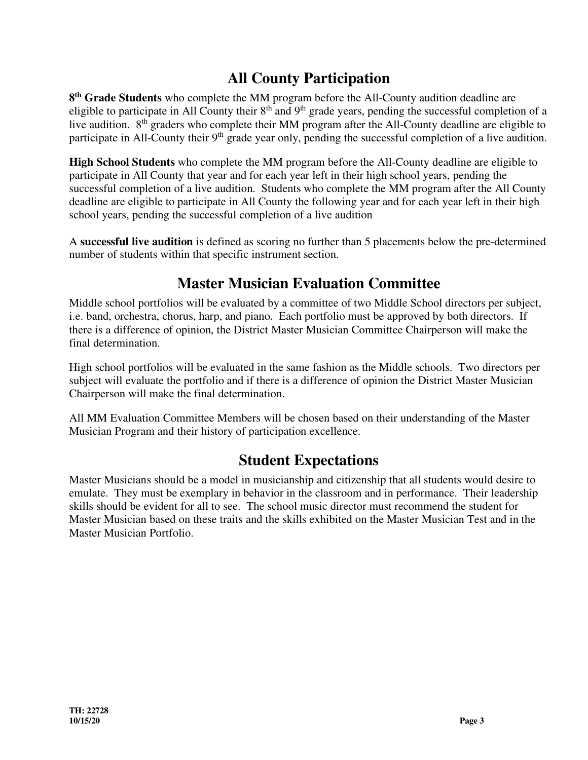## **All County Participation**

**8 th Grade Students** who complete the MM program before the All-County audition deadline are eligible to participate in All County their  $8<sup>th</sup>$  and  $9<sup>th</sup>$  grade years, pending the successful completion of a live audition. 8<sup>th</sup> graders who complete their MM program after the All-County deadline are eligible to participate in All-County their 9<sup>th</sup> grade year only, pending the successful completion of a live audition.

**High School Students** who complete the MM program before the All-County deadline are eligible to participate in All County that year and for each year left in their high school years, pending the successful completion of a live audition. Students who complete the MM program after the All County deadline are eligible to participate in All County the following year and for each year left in their high school years, pending the successful completion of a live audition

A **successful live audition** is defined as scoring no further than 5 placements below the pre-determined number of students within that specific instrument section.

## **Master Musician Evaluation Committee**

Middle school portfolios will be evaluated by a committee of two Middle School directors per subject, i.e. band, orchestra, chorus, harp, and piano. Each portfolio must be approved by both directors. If there is a difference of opinion, the District Master Musician Committee Chairperson will make the final determination.

High school portfolios will be evaluated in the same fashion as the Middle schools. Two directors per subject will evaluate the portfolio and if there is a difference of opinion the District Master Musician Chairperson will make the final determination.

All MM Evaluation Committee Members will be chosen based on their understanding of the Master Musician Program and their history of participation excellence.

#### **Student Expectations**

Master Musicians should be a model in musicianship and citizenship that all students would desire to emulate. They must be exemplary in behavior in the classroom and in performance. Their leadership skills should be evident for all to see. The school music director must recommend the student for Master Musician based on these traits and the skills exhibited on the Master Musician Test and in the Master Musician Portfolio.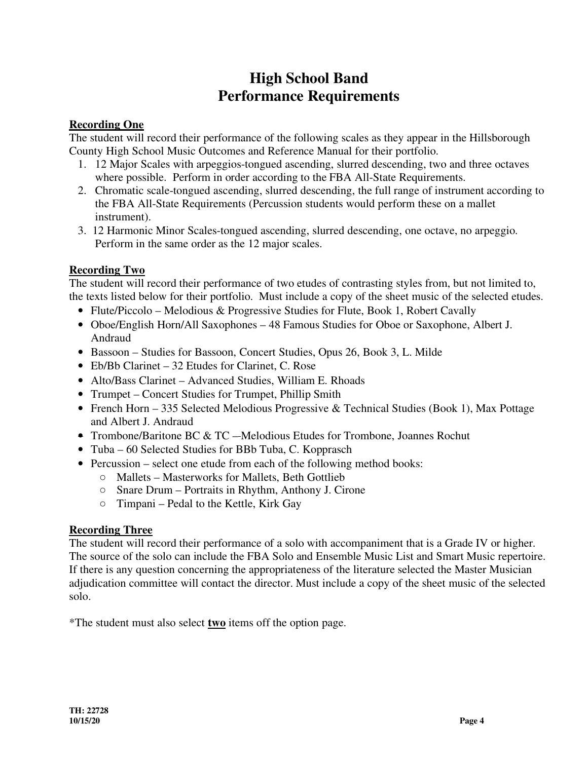#### **High School Band Performance Requirements**

#### **Recording One**

The student will record their performance of the following scales as they appear in the Hillsborough County High School Music Outcomes and Reference Manual for their portfolio.

- 1. 12 Major Scales with arpeggios-tongued ascending, slurred descending, two and three octaves where possible. Perform in order according to the FBA All-State Requirements.
- 2. Chromatic scale-tongued ascending, slurred descending, the full range of instrument according to the FBA All-State Requirements (Percussion students would perform these on a mallet instrument).
- 3. 12 Harmonic Minor Scales-tongued ascending, slurred descending, one octave, no arpeggio. Perform in the same order as the 12 major scales.

#### **Recording Two**

The student will record their performance of two etudes of contrasting styles from, but not limited to, the texts listed below for their portfolio. Must include a copy of the sheet music of the selected etudes.

- Flute/Piccolo Melodious & Progressive Studies for Flute, Book 1, Robert Cavally
- Oboe/English Horn/All Saxophones 48 Famous Studies for Oboe or Saxophone, Albert J. Andraud
- Bassoon Studies for Bassoon, Concert Studies, Opus 26, Book 3, L. Milde
- Eb/Bb Clarinet 32 Etudes for Clarinet, C. Rose
- Alto/Bass Clarinet Advanced Studies, William E. Rhoads
- Trumpet Concert Studies for Trumpet, Phillip Smith
- French Horn 335 Selected Melodious Progressive & Technical Studies (Book 1), Max Pottage and Albert J. Andraud
- Trombone/Baritone BC & TC Melodious Etudes for Trombone, Joannes Rochut
- Tuba 60 Selected Studies for BBb Tuba, C. Kopprasch
- Percussion select one etude from each of the following method books:
	- **○** Mallets Masterworks for Mallets, Beth Gottlieb
	- **○** Snare Drum Portraits in Rhythm, Anthony J. Cirone
	- **○** Timpani Pedal to the Kettle, Kirk Gay

#### **Recording Three**

The student will record their performance of a solo with accompaniment that is a Grade IV or higher. The source of the solo can include the FBA Solo and Ensemble Music List and Smart Music repertoire. If there is any question concerning the appropriateness of the literature selected the Master Musician adjudication committee will contact the director. Must include a copy of the sheet music of the selected solo.

\*The student must also select **two** items off the option page.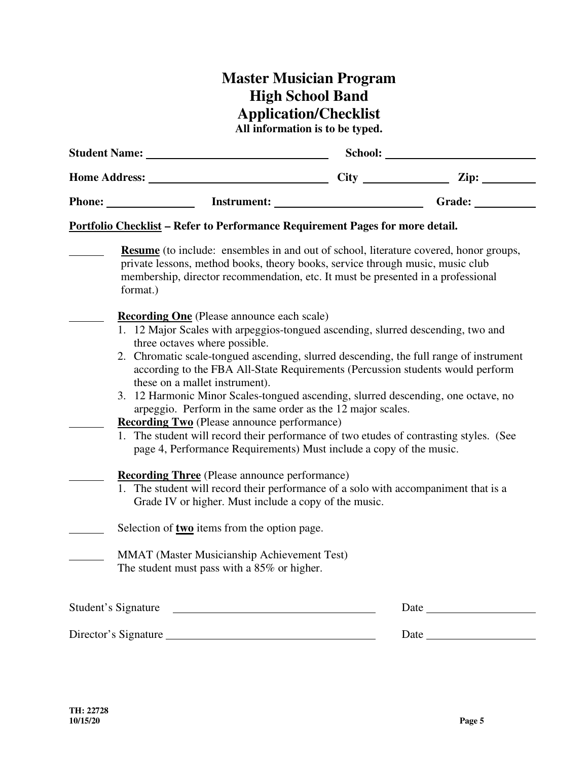# **Master Musician Program High School Band Application/Checklist**

**All information is to be typed.** 

| <b>Student Name:</b><br>Home Address: _____ |                                                                                                                                                                                                                                                                                                                                                                                                                                                                                                                                                                                                                                                                                                                                                                                                                                                                                                                                                                                                                                                                                 | School: |                 |  |
|---------------------------------------------|---------------------------------------------------------------------------------------------------------------------------------------------------------------------------------------------------------------------------------------------------------------------------------------------------------------------------------------------------------------------------------------------------------------------------------------------------------------------------------------------------------------------------------------------------------------------------------------------------------------------------------------------------------------------------------------------------------------------------------------------------------------------------------------------------------------------------------------------------------------------------------------------------------------------------------------------------------------------------------------------------------------------------------------------------------------------------------|---------|-----------------|--|
|                                             |                                                                                                                                                                                                                                                                                                                                                                                                                                                                                                                                                                                                                                                                                                                                                                                                                                                                                                                                                                                                                                                                                 |         | $\mathbf{Zip:}$ |  |
|                                             |                                                                                                                                                                                                                                                                                                                                                                                                                                                                                                                                                                                                                                                                                                                                                                                                                                                                                                                                                                                                                                                                                 |         | Grade:          |  |
|                                             | Portfolio Checklist - Refer to Performance Requirement Pages for more detail.                                                                                                                                                                                                                                                                                                                                                                                                                                                                                                                                                                                                                                                                                                                                                                                                                                                                                                                                                                                                   |         |                 |  |
|                                             | <b>Resume</b> (to include: ensembles in and out of school, literature covered, honor groups,<br>private lessons, method books, theory books, service through music, music club<br>membership, director recommendation, etc. It must be presented in a professional<br>format.)                                                                                                                                                                                                                                                                                                                                                                                                                                                                                                                                                                                                                                                                                                                                                                                                  |         |                 |  |
|                                             | <b>Recording One</b> (Please announce each scale)<br>1. 12 Major Scales with arpeggios-tongued ascending, slurred descending, two and<br>three octaves where possible.<br>2. Chromatic scale-tongued ascending, slurred descending, the full range of instrument<br>according to the FBA All-State Requirements (Percussion students would perform<br>these on a mallet instrument).<br>3. 12 Harmonic Minor Scales-tongued ascending, slurred descending, one octave, no<br>arpeggio. Perform in the same order as the 12 major scales.<br><b>Recording Two</b> (Please announce performance)<br>1. The student will record their performance of two etudes of contrasting styles. (See<br>page 4, Performance Requirements) Must include a copy of the music.<br><b>Recording Three</b> (Please announce performance)<br>1. The student will record their performance of a solo with accompaniment that is a<br>Grade IV or higher. Must include a copy of the music.<br>Selection of $two$ items from the option page.<br><b>MMAT</b> (Master Musicianship Achievement Test) |         |                 |  |
|                                             | The student must pass with a 85% or higher.                                                                                                                                                                                                                                                                                                                                                                                                                                                                                                                                                                                                                                                                                                                                                                                                                                                                                                                                                                                                                                     |         |                 |  |
|                                             | Student's Signature                                                                                                                                                                                                                                                                                                                                                                                                                                                                                                                                                                                                                                                                                                                                                                                                                                                                                                                                                                                                                                                             |         | Date            |  |
|                                             | Director's Signature                                                                                                                                                                                                                                                                                                                                                                                                                                                                                                                                                                                                                                                                                                                                                                                                                                                                                                                                                                                                                                                            |         | Date            |  |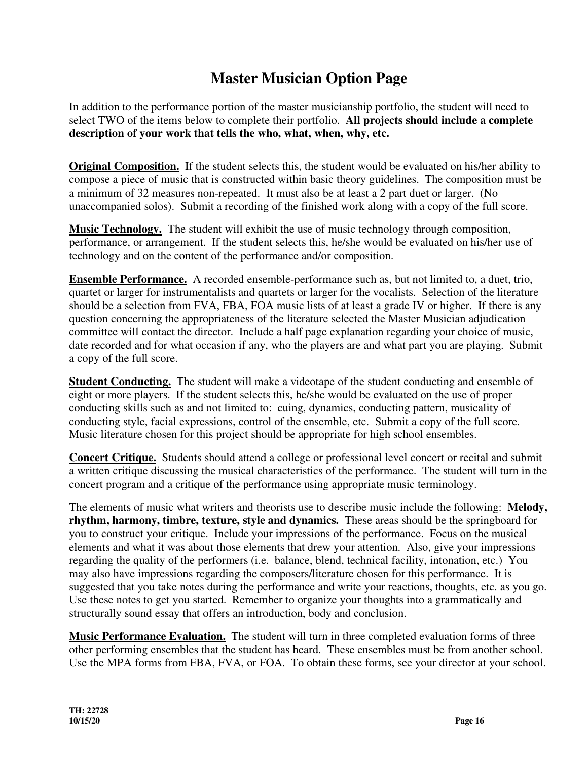## **Master Musician Option Page**

In addition to the performance portion of the master musicianship portfolio, the student will need to select TWO of the items below to complete their portfolio. **All projects should include a complete description of your work that tells the who, what, when, why, etc.** 

**Original Composition.** If the student selects this, the student would be evaluated on his/her ability to compose a piece of music that is constructed within basic theory guidelines. The composition must be a minimum of 32 measures non-repeated. It must also be at least a 2 part duet or larger. (No unaccompanied solos). Submit a recording of the finished work along with a copy of the full score.

**Music Technology.** The student will exhibit the use of music technology through composition, performance, or arrangement. If the student selects this, he/she would be evaluated on his/her use of technology and on the content of the performance and/or composition.

**Ensemble Performance.** A recorded ensemble-performance such as, but not limited to, a duet, trio, quartet or larger for instrumentalists and quartets or larger for the vocalists. Selection of the literature should be a selection from FVA, FBA, FOA music lists of at least a grade IV or higher. If there is any question concerning the appropriateness of the literature selected the Master Musician adjudication committee will contact the director. Include a half page explanation regarding your choice of music, date recorded and for what occasion if any, who the players are and what part you are playing. Submit a copy of the full score.

**Student Conducting.** The student will make a videotape of the student conducting and ensemble of eight or more players. If the student selects this, he/she would be evaluated on the use of proper conducting skills such as and not limited to: cuing, dynamics, conducting pattern, musicality of conducting style, facial expressions, control of the ensemble, etc. Submit a copy of the full score. Music literature chosen for this project should be appropriate for high school ensembles.

**Concert Critique.** Students should attend a college or professional level concert or recital and submit a written critique discussing the musical characteristics of the performance. The student will turn in the concert program and a critique of the performance using appropriate music terminology.

The elements of music what writers and theorists use to describe music include the following: **Melody, rhythm, harmony, timbre, texture, style and dynamics.** These areas should be the springboard for you to construct your critique. Include your impressions of the performance. Focus on the musical elements and what it was about those elements that drew your attention. Also, give your impressions regarding the quality of the performers (i.e. balance, blend, technical facility, intonation, etc.) You may also have impressions regarding the composers/literature chosen for this performance. It is suggested that you take notes during the performance and write your reactions, thoughts, etc. as you go. Use these notes to get you started. Remember to organize your thoughts into a grammatically and structurally sound essay that offers an introduction, body and conclusion.

**Music Performance Evaluation.** The student will turn in three completed evaluation forms of three other performing ensembles that the student has heard. These ensembles must be from another school. Use the MPA forms from FBA, FVA, or FOA. To obtain these forms, see your director at your school.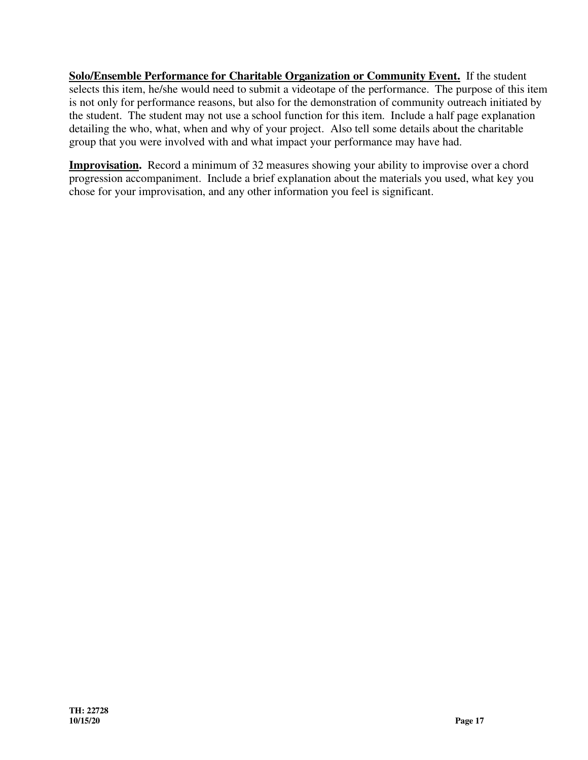**Solo/Ensemble Performance for Charitable Organization or Community Event.** If the student selects this item, he/she would need to submit a videotape of the performance. The purpose of this item is not only for performance reasons, but also for the demonstration of community outreach initiated by the student. The student may not use a school function for this item. Include a half page explanation detailing the who, what, when and why of your project. Also tell some details about the charitable group that you were involved with and what impact your performance may have had.

**Improvisation.** Record a minimum of 32 measures showing your ability to improvise over a chord progression accompaniment. Include a brief explanation about the materials you used, what key you chose for your improvisation, and any other information you feel is significant.